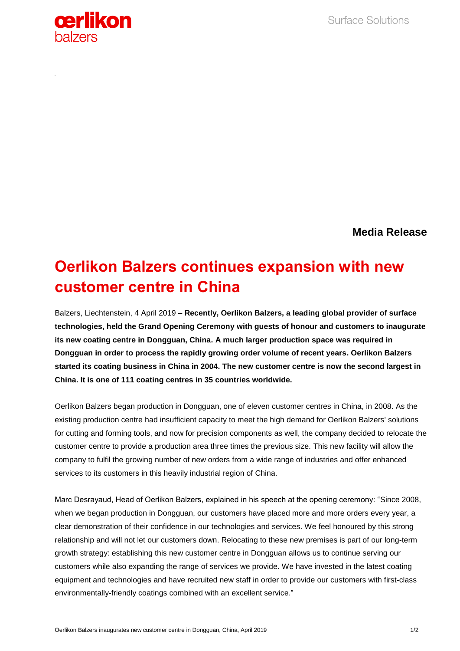

**Media Release**

## **Oerlikon Balzers continues expansion with new customer centre in China**

Balzers, Liechtenstein, 4 April 2019 – **Recently, Oerlikon Balzers, a leading global provider of surface technologies, held the Grand Opening Ceremony with guests of honour and customers to inaugurate its new coating centre in Dongguan, China. A much larger production space was required in Dongguan in order to process the rapidly growing order volume of recent years. Oerlikon Balzers started its coating business in China in 2004. The new customer centre is now the second largest in China. It is one of 111 coating centres in 35 countries worldwide.**

Oerlikon Balzers began production in Dongguan, one of eleven customer centres in China, in 2008. As the existing production centre had insufficient capacity to meet the high demand for Oerlikon Balzers' solutions for cutting and forming tools, and now for precision components as well, the company decided to relocate the customer centre to provide a production area three times the previous size. This new facility will allow the company to fulfil the growing number of new orders from a wide range of industries and offer enhanced services to its customers in this heavily industrial region of China.

Marc Desrayaud, Head of Oerlikon Balzers, explained in his speech at the opening ceremony: "Since 2008, when we began production in Dongguan, our customers have placed more and more orders every year, a clear demonstration of their confidence in our technologies and services. We feel honoured by this strong relationship and will not let our customers down. Relocating to these new premises is part of our long-term growth strategy: establishing this new customer centre in Dongguan allows us to continue serving our customers while also expanding the range of services we provide. We have invested in the latest coating equipment and technologies and have recruited new staff in order to provide our customers with first-class environmentally-friendly coatings combined with an excellent service."